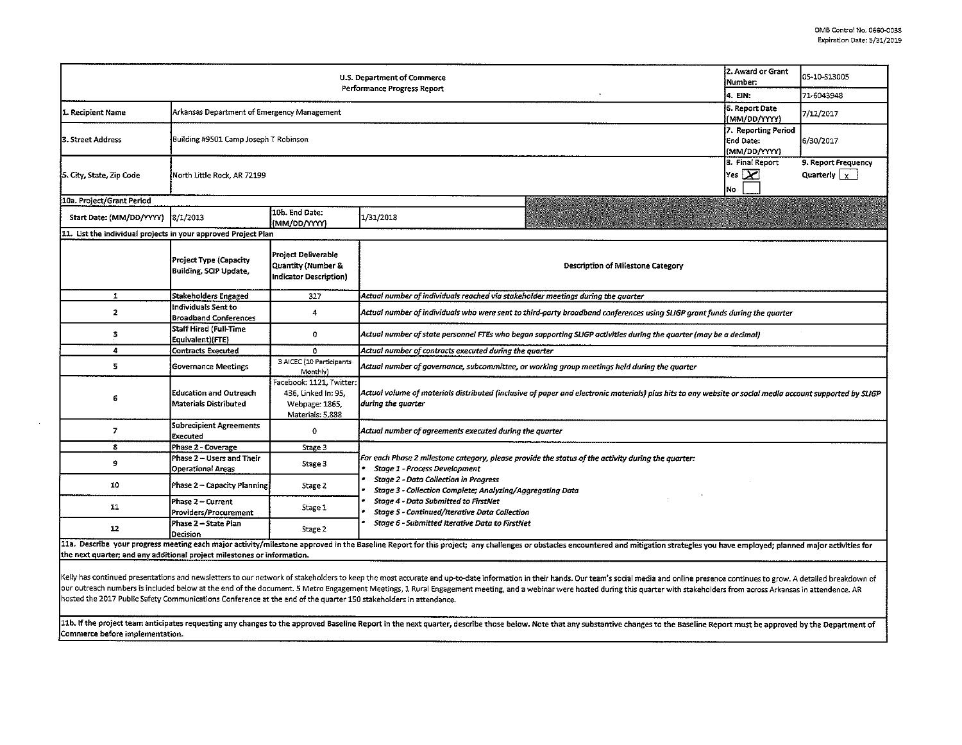| U.S. Department of Commerce                                    |                                                                               |                                                                                       |                                                                                                                                                                                                                                |                                                  | 05-10-513005 |  |  |  |  |  |
|----------------------------------------------------------------|-------------------------------------------------------------------------------|---------------------------------------------------------------------------------------|--------------------------------------------------------------------------------------------------------------------------------------------------------------------------------------------------------------------------------|--------------------------------------------------|--------------|--|--|--|--|--|
|                                                                |                                                                               |                                                                                       | Performance Progress Report                                                                                                                                                                                                    | 4. EIN:                                          | 71-6043948   |  |  |  |  |  |
| 1. Recipient Name                                              | 6. Report Date<br>Arkansas Department of Emergency Management<br>(MM/DD/YYYY) |                                                                                       |                                                                                                                                                                                                                                |                                                  | 7/12/2017    |  |  |  |  |  |
| 3. Street Address                                              | Building #9501 Camp Joseph T Robinson                                         |                                                                                       |                                                                                                                                                                                                                                | 7. Reporting Period<br>End Date:<br>(MM/DD/YYYY) | 6/30/2017    |  |  |  |  |  |
| 5. City, State, Zip Code                                       | North Little Rock, AR 72199                                                   | 8. Final Report<br>$\mathsf{Yes}$ $\mathsf{X}$<br>No                                  |                                                                                                                                                                                                                                |                                                  |              |  |  |  |  |  |
| 10a. Project/Grant Period                                      |                                                                               |                                                                                       |                                                                                                                                                                                                                                |                                                  |              |  |  |  |  |  |
| Start Date: (MM/DD/YYYY)                                       | 8/1/2013                                                                      | 10b. End Date:<br>(MM/DD/YYYY)                                                        | 1/31/2018                                                                                                                                                                                                                      |                                                  |              |  |  |  |  |  |
| 11. List the individual projects in your approved Project Plan |                                                                               |                                                                                       |                                                                                                                                                                                                                                |                                                  |              |  |  |  |  |  |
|                                                                | Project Type (Capacity<br><b>Building, SCIP Update,</b>                       | Project Deliverable<br>Quantity (Number &<br>Indicator Description)                   | Description of Milestone Category                                                                                                                                                                                              |                                                  |              |  |  |  |  |  |
| 1                                                              | <b>Stakeholders Engaged</b>                                                   | 327                                                                                   | Actual number of individuals reached via stakeholder meetings during the quarter                                                                                                                                               |                                                  |              |  |  |  |  |  |
| $\mathbf{2}$                                                   | Individuals Sent to<br><b>Broadband Conferences</b>                           | 4                                                                                     | Actual number of individuals who were sent to third-party broadband conferences using SLIGP grant funds during the quarter                                                                                                     |                                                  |              |  |  |  |  |  |
| з                                                              | <b>Staff Hired (Full-Time</b><br>Equivalent)(FTE)                             | 0                                                                                     | Actual number of state personnel FTEs who began supporting SLIGP activities during the quarter (may be a decimal)                                                                                                              |                                                  |              |  |  |  |  |  |
| 4                                                              | <b>Contracts Executed</b>                                                     | ٥                                                                                     | Actual number of contracts executed during the quarter                                                                                                                                                                         |                                                  |              |  |  |  |  |  |
| 5                                                              | <b>Governance Meetings</b>                                                    | 3 AICEC (10 Participants<br>Monthly)                                                  | Actual number of governance, subcommittee, or working group meetings held during the quarter                                                                                                                                   |                                                  |              |  |  |  |  |  |
| 6                                                              | <b>Education and Outreach</b><br>Materials Distributed                        | Facebook: 1121, Twitter:<br>436. Linked In: 95,<br>Webpage: 1865,<br>Materials: 5,888 | Actual volume of materials distributed (inclusive of paper and electronic materials) plus hits to any website or social media account supported by SLIGP<br>during the quarter                                                 |                                                  |              |  |  |  |  |  |
| $\overline{z}$                                                 | Subrecipient Agreements<br>Executed                                           | 0                                                                                     | Actual number of agreements executed during the quarter                                                                                                                                                                        |                                                  |              |  |  |  |  |  |
| 8                                                              | Phase 2 - Coverage                                                            | Stage 3                                                                               |                                                                                                                                                                                                                                |                                                  |              |  |  |  |  |  |
| 9                                                              | Phase 2 - Users and Their<br><b>Operational Areas</b>                         | Stage 3                                                                               | For each Phase 2 milestone category, please provide the status of the activity during the quarter:<br>Stage 1 - Process Development                                                                                            |                                                  |              |  |  |  |  |  |
| 10                                                             | Phase 2 - Capacity Planning                                                   | Stage 2                                                                               | <b>Stage 2 - Data Collection in Progress</b><br>Stage 3 - Collection Complete; Analyzing/Aggregating Data<br>Stage 4 - Data Submitted to FirstNet<br><b>Stage 5 - Continued/Iterative Data Collection</b>                      |                                                  |              |  |  |  |  |  |
| 11                                                             | Phase 2 – Current<br>Providers/Procurement                                    | Stage 1                                                                               |                                                                                                                                                                                                                                |                                                  |              |  |  |  |  |  |
| 12                                                             | Phase 2 - State Plan<br>Decision                                              | Stage 2                                                                               | <b>Stage 6 - Submitted Iterative Data to FirstNet</b>                                                                                                                                                                          |                                                  |              |  |  |  |  |  |
|                                                                |                                                                               |                                                                                       | 11a. Describe your progress meeting each major activity/milestone approved in the Baseline Report for this project; any challenges or obstacles encountered and mitigation strategies you have employed; planned major activit |                                                  |              |  |  |  |  |  |

the next quarter; and any additional project milestones or information.

Kelly has continued presentations and newsletters to our network of stakeholders to keep the most accurate and up-to-date information in their hands. Our team's social media and online presence continues to grow. A detaile our outreach numbers is included below at the end of the document. 5 Metro Engagement Meetings, 1 Rural Engagement meeting, and a webinar were hosted during this quarter with stakeholders from across Arkansas in attendence hosted the 2017 Public Safety Communications Conference at the end of the quarter 150 stakeholders in attendance.

11b. If the project team anticipates requesting any changes to the approved Baseline Report in the next quarter, describe those below. Note that any substantive changes to the Baseline Report must be approved by the Depart Commerce before implementation.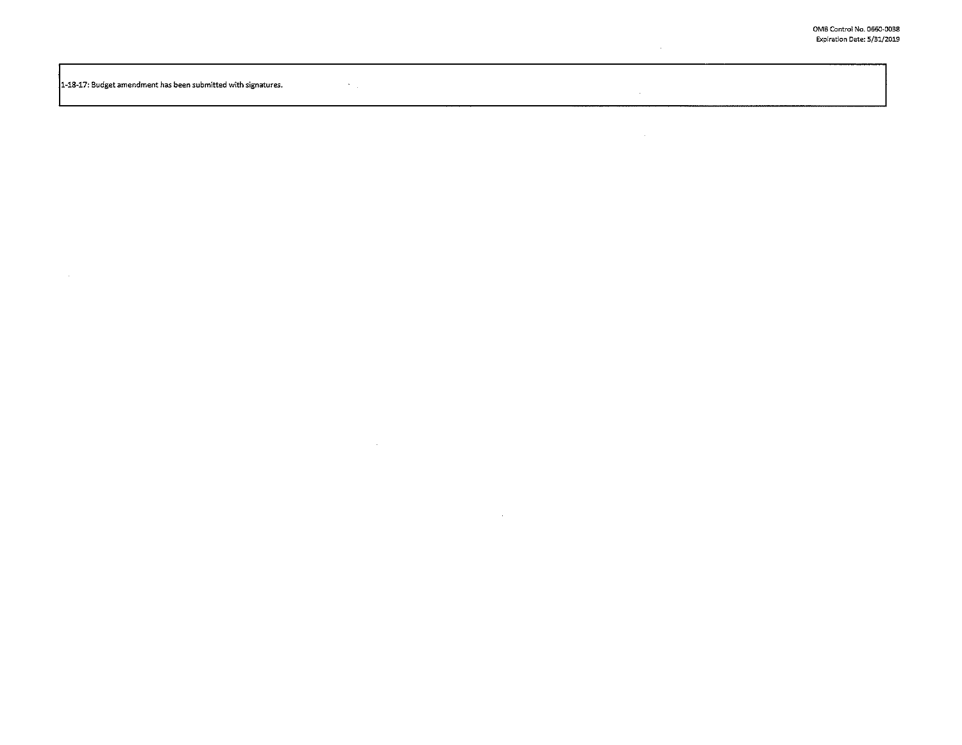$\sim$ 

 $\sim 10^{-1}$ 

 $\mathcal{L}^{\text{max}}_{\text{max}}$  ,  $\mathcal{L}^{\text{max}}_{\text{max}}$  $\vert$ 1-18-17: Budget amendment has been submitted with signatures.

 $\sim 100$ 

 $\sim 1000$  km s  $^{-1}$ 

 $\sim 10^{-1}$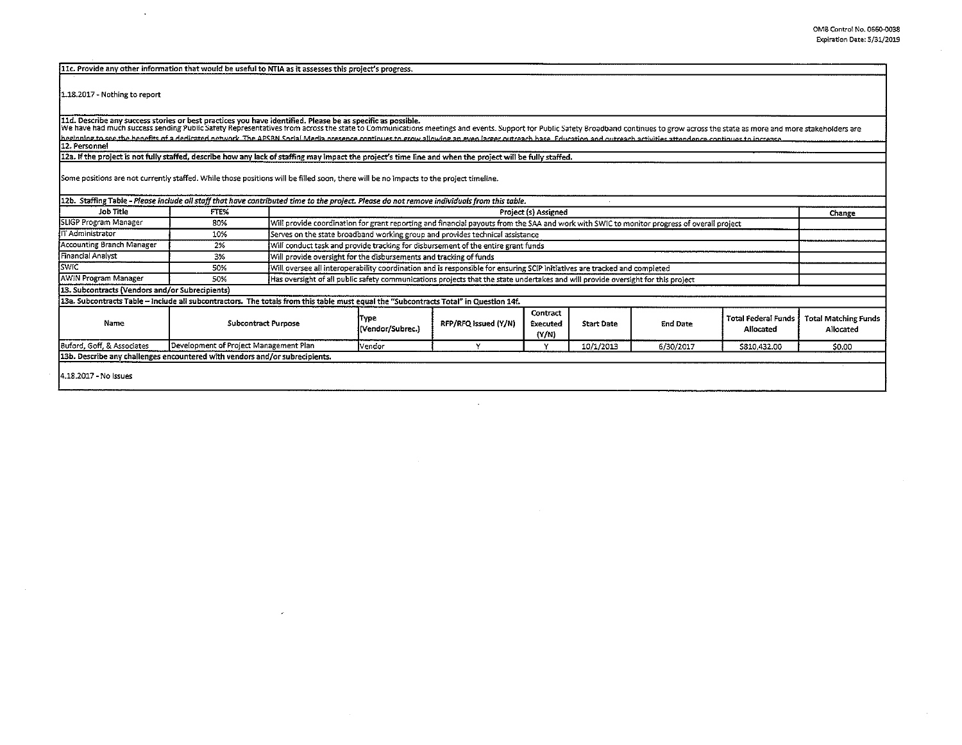llc. Provide any other infonnation that would be useful to NTIA as it assesses this project's progress.

1.18.2017- Nothing to report

 $\bar{z}$ 

11d. Describe any success stories or best practices you have identified. Please be as specific as possible.<br>We have had much success sending Public Safety Representatives from across the state to Communications meetings an

12a. If the project is not fully staffed, describe how anv lack of staffing may impact the project's time line and when the project will be fullv staffed.

Some positions are not currently staffed. While those positions will be filled soon, there will be no impacts to the projecttimeline.

| 12b. Staffing Table - Please include all staff that have contributed time to the project. Please do not remove individuals from this table. |                                        |  |                                                                                                                                            |                      |                                      |                   |                 |                                  |                                          |
|---------------------------------------------------------------------------------------------------------------------------------------------|----------------------------------------|--|--------------------------------------------------------------------------------------------------------------------------------------------|----------------------|--------------------------------------|-------------------|-----------------|----------------------------------|------------------------------------------|
| Job Title                                                                                                                                   | FTE%                                   |  | Project (s) Assigned                                                                                                                       |                      |                                      |                   |                 | Change                           |                                          |
| SLIGP Program Manager                                                                                                                       | 80%                                    |  | Will provide coordination for grant reporting and financial payouts from the SAA and work with SWIC to monitor progress of overall project |                      |                                      |                   |                 |                                  |                                          |
| IT Administrator                                                                                                                            | 10%                                    |  | Serves on the state broadband working group and provides technical assistance                                                              |                      |                                      |                   |                 |                                  |                                          |
| Accounting Branch Manager                                                                                                                   | 2%                                     |  | Will conduct task and provide tracking for disbursement of the entire grant funds                                                          |                      |                                      |                   |                 |                                  |                                          |
| Financial Analyst                                                                                                                           | 3%                                     |  | Will provide oversight for the disbursements and tracking of funds                                                                         |                      |                                      |                   |                 |                                  |                                          |
| <b>SWIC</b>                                                                                                                                 | 50%                                    |  | Will oversee all interoperability coordination and is responsible for ensuring SCIP initiatives are tracked and completed                  |                      |                                      |                   |                 |                                  |                                          |
| <b>AWIN Program Manager</b>                                                                                                                 | 50%                                    |  | Has oversight of all public safety communications projects that the state undertakes and will provide oversight for this project           |                      |                                      |                   |                 |                                  |                                          |
| 13. Subcontracts (Vendors and/or Subrecipients)                                                                                             |                                        |  |                                                                                                                                            |                      |                                      |                   |                 |                                  |                                          |
| 13a. Subcontracts Table – Include all subcontractors. The totals from this table must equal the "Subcontracts Total" in Question 14f.       |                                        |  |                                                                                                                                            |                      |                                      |                   |                 |                                  |                                          |
| Name                                                                                                                                        | <b>Subcontract Purpose</b>             |  | Type<br>(Vendor/Subrec.)                                                                                                                   | RFP/RFQ issued (Y/N) | Contract<br><b>Executed</b><br>(Y/N) | <b>Start Date</b> | <b>End Date</b> | Total Federal Funds<br>Allocated | <b>Total Matching Funds</b><br>Allocated |
| Buford, Goff, & Associates                                                                                                                  | Development of Project Management Plan |  | <b>Vendor</b>                                                                                                                              |                      |                                      | 10/1/2013         | 6/30/2017       | \$810,432.00                     | \$0.00                                   |
| 13b. Describe any challenges encountered with vendors and/or subrecipients.                                                                 |                                        |  |                                                                                                                                            |                      |                                      |                   |                 |                                  |                                          |
| 14.18.2017 - No Issues                                                                                                                      |                                        |  |                                                                                                                                            |                      |                                      |                   |                 |                                  |                                          |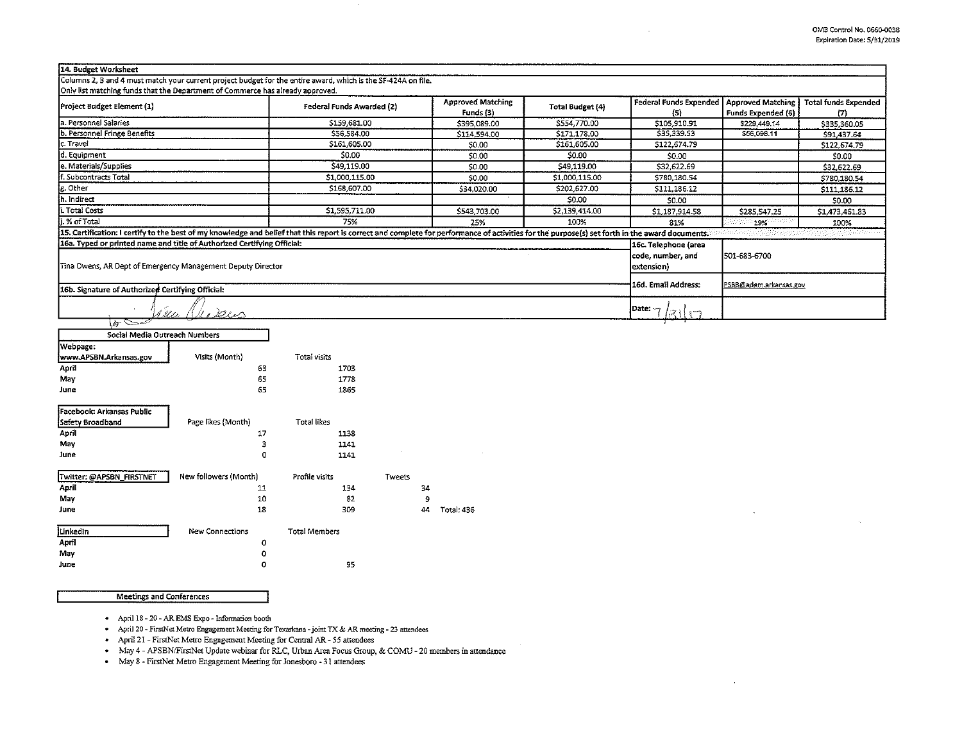| 14. Budget Worksheet                                                                                                                                                                            |                           |                                                                  |                |                                      |                                                |                                     |
|-------------------------------------------------------------------------------------------------------------------------------------------------------------------------------------------------|---------------------------|------------------------------------------------------------------|----------------|--------------------------------------|------------------------------------------------|-------------------------------------|
| Columns 2, 3 and 4 must match your current project budget for the entire award, which is the SF-424A on file.<br>Only list matching funds that the Department of Commerce has already approved. |                           |                                                                  |                |                                      |                                                |                                     |
| Project Budget Element (1)                                                                                                                                                                      | Federal Funds Awarded (2) | <b>Approved Matching</b><br><b>Total Budget (4)</b><br>Funds (3) |                | <b>Federal Funds Expended</b><br>(5) | <b>Approved Matching</b><br>Funds Expended (6) | <b>Total funds Expended</b><br>(7). |
| a. Personnel Salaries                                                                                                                                                                           | \$159,681.00              | \$395.089.00                                                     | \$554,770.00   | \$105,910.91                         | \$229,449.14                                   | \$335,360.05                        |
| b. Personnel Fringe Benefits                                                                                                                                                                    | \$56,584.00               | \$114,594.00                                                     | \$171,178.00   | \$35,339.53                          | \$56,098,11                                    | \$91,437.64                         |
| c. Travel                                                                                                                                                                                       | \$161,605.00              | \$0.00                                                           | \$161,605.00   | \$122,674.79                         |                                                | \$122,674.79                        |
| d. Equipment                                                                                                                                                                                    | \$0.00                    | \$0.00                                                           | \$0.00         | \$0.00                               |                                                | \$0.00                              |
| e. Materials/Supplies                                                                                                                                                                           | \$49,119.00               | \$0.00                                                           | \$49,119.00    | \$32,622.69                          |                                                | \$32,622.69                         |
| f. Subcontracts Total                                                                                                                                                                           | \$1,000,115.00            | \$0.00                                                           | \$1,000,115.00 | \$780,180.54                         |                                                | \$780,180.54                        |
| g. Other                                                                                                                                                                                        | \$168,607.00              | \$34,020.00                                                      | \$202,527.00   | \$111,186.12                         |                                                | \$111,186.12                        |
| h. Indirect                                                                                                                                                                                     |                           |                                                                  | \$0.00         | \$0.00                               |                                                | \$0.00                              |
| i. Total Costs                                                                                                                                                                                  | \$1,595,711.00            | \$543,703.00                                                     | \$2,139,414.00 | \$1,187,914.58                       | \$285,547.25                                   | 51,473,461.83                       |
| j. % of Total                                                                                                                                                                                   | 75%                       | 25%                                                              | 100%           | 81%                                  | $19\%$                                         | 100%                                |
| 15. Certification: I certify to the best of my knowledge and belief that this report is correct and complete for performance of activities for the purpose(s) set forth in the award documents. |                           |                                                                  |                |                                      |                                                | [사람] 사용 사용사항 가정 (사용) 사용사항 분위기 시     |
| 16a. Typed or printed name and title of Authorized Certifying Official:                                                                                                                         |                           |                                                                  |                | 16c. Telephone (area                 |                                                |                                     |
|                                                                                                                                                                                                 | code, number, and         | 501-683-6700                                                     |                |                                      |                                                |                                     |
| Tina Owens, AR Dept of Emergency Management Deputy Director                                                                                                                                     |                           |                                                                  |                | extension)                           |                                                |                                     |
| 16b. Signature of Authorized Certifying Official:                                                                                                                                               |                           |                                                                  |                | 16d. Email Address:                  | PSBB@adem.arkansas.gov                         |                                     |
| A flær<br>MI 2 x 1                                                                                                                                                                              |                           |                                                                  |                | Date: ~                              |                                                |                                     |
| $\sqrt{a}$                                                                                                                                                                                      |                           |                                                                  |                |                                      |                                                |                                     |

| Social Media Outreach Numbers |                        |                      |               |            |
|-------------------------------|------------------------|----------------------|---------------|------------|
| Webpage:                      |                        |                      |               |            |
| www.APSBN.Arkansas.gov        | Visits (Month)         | Total visits         |               |            |
| April                         | 63                     | 1703                 |               |            |
| May                           | 65                     | 1778                 |               |            |
| June                          | 65                     | 1865                 |               |            |
| Facebook: Arkansas Public     |                        |                      |               |            |
| Safety Broadband              | Page likes (Month)     | <b>Total likes</b>   |               |            |
| April                         | 17                     | 1138                 |               |            |
| May                           | 3                      | 1141                 |               |            |
| June                          | 0                      | 1141                 |               |            |
| Twitter: @APSBN_FIRSTNET      | New followers (Month)  | Profile visits       | <b>Tweets</b> |            |
| April                         | 11                     | 134                  | 34            |            |
| May                           | 10                     | 82                   | 9             |            |
| June                          | 18                     | 309                  | 44            | Total: 436 |
| Linkedin                      | <b>New Connections</b> | <b>Total Members</b> |               |            |
| April                         | 0                      |                      |               |            |
| May                           | 0                      |                      |               |            |
| June                          | ٥                      | 95                   |               |            |

Meetings and Conferences

April 18-20-AREMS Expo- Infonnation booth

April 20 - FirstNet Metro Engagement Meeting for Texarkana -joint TX & AR meeting - 23 attendees

April 21 - FirstNet Metro Engagement Meeting for Central AR- 55 attendees

May 4 - APSBNIFirstNet Update webinar for RLC, Urban Area Focus Group, & COMU - 20 members in attendance

May 8 - FirstNet Metro Engagement Meeting for Jonesboro - 31 attendees